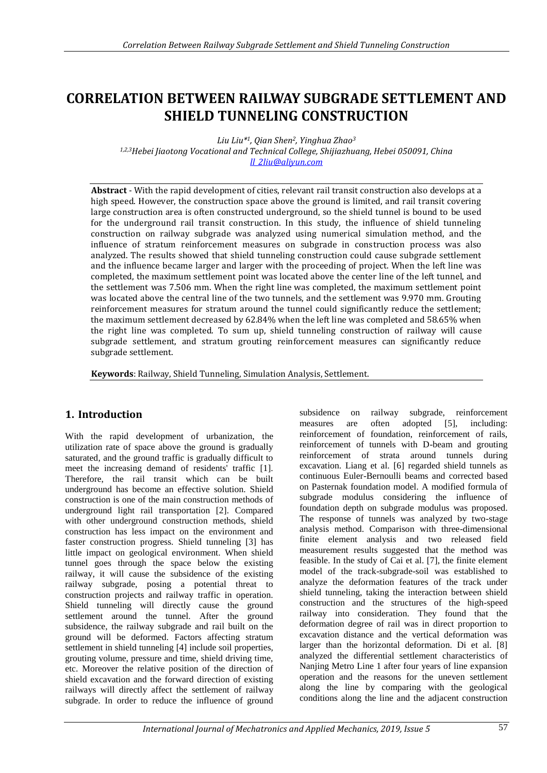# **CORRELATION BETWEEN RAILWAY SUBGRADE SETTLEMENT AND SHIELD TUNNELING CONSTRUCTION**

*Liu Liu\*1, Qian Shen2, Yinghua Zhao<sup>3</sup> 1,2,3Hebei Jiaotong Vocational and Technical College, Shijiazhuang, Hebei 050091, China ll\_2liu@aliyun.com*

**Abstract** - With the rapid development of cities, relevant rail transit construction also develops at a high speed. However, the construction space above the ground is limited, and rail transit covering large construction area is often constructed underground, so the shield tunnel is bound to be used for the underground rail transit construction. In this study, the influence of shield tunneling construction on railway subgrade was analyzed using numerical simulation method, and the influence of stratum reinforcement measures on subgrade in construction process was also analyzed. The results showed that shield tunneling construction could cause subgrade settlement and the influence became larger and larger with the proceeding of project. When the left line was completed, the maximum settlement point was located above the center line of the left tunnel, and the settlement was 7.506 mm. When the right line was completed, the maximum settlement point was located above the central line of the two tunnels, and the settlement was 9.970 mm. Grouting reinforcement measures for stratum around the tunnel could significantly reduce the settlement; the maximum settlement decreased by 62.84% when the left line was completed and 58.65% when the right line was completed. To sum up, shield tunneling construction of railway will cause subgrade settlement, and stratum grouting reinforcement measures can significantly reduce subgrade settlement.

**Keywords**: Railway, Shield Tunneling, Simulation Analysis, Settlement.

# **1. Introduction**

With the rapid development of urbanization, the utilization rate of space above the ground is gradually saturated, and the ground traffic is gradually difficult to meet the increasing demand of residents' traffic [1]. Therefore, the rail transit which can be built underground has become an effective solution. Shield construction is one of the main construction methods of underground light rail transportation [2]. Compared with other underground construction methods, shield construction has less impact on the environment and faster construction progress. Shield tunneling [3] has little impact on geological environment. When shield tunnel goes through the space below the existing railway, it will cause the subsidence of the existing railway subgrade, posing a potential threat to construction projects and railway traffic in operation. Shield tunneling will directly cause the ground settlement around the tunnel. After the ground subsidence, the railway subgrade and rail built on the ground will be deformed. Factors affecting stratum settlement in shield tunneling [4] include soil properties, grouting volume, pressure and time, shield driving time, etc. Moreover the relative position of the direction of shield excavation and the forward direction of existing railways will directly affect the settlement of railway subgrade. In order to reduce the influence of ground

subsidence on railway subgrade, reinforcement measures are often adopted [5], including: reinforcement of foundation, reinforcement of rails, reinforcement of tunnels with D-beam and grouting reinforcement of strata around tunnels during excavation. Liang et al. [6] regarded shield tunnels as continuous Euler-Bernoulli beams and corrected based on Pasternak foundation model. A modified formula of subgrade modulus considering the influence of foundation depth on subgrade modulus was proposed. The response of tunnels was analyzed by two-stage analysis method. Comparison with three-dimensional finite element analysis and two released field measurement results suggested that the method was feasible. In the study of Cai et al. [7], the finite element model of the track-subgrade-soil was established to analyze the deformation features of the track under shield tunneling, taking the interaction between shield construction and the structures of the high-speed railway into consideration. They found that the deformation degree of rail was in direct proportion to excavation distance and the vertical deformation was larger than the horizontal deformation. Di et al. [8] analyzed the differential settlement characteristics of Nanjing Metro Line 1 after four years of line expansion operation and the reasons for the uneven settlement along the line by comparing with the geological conditions along the line and the adjacent construction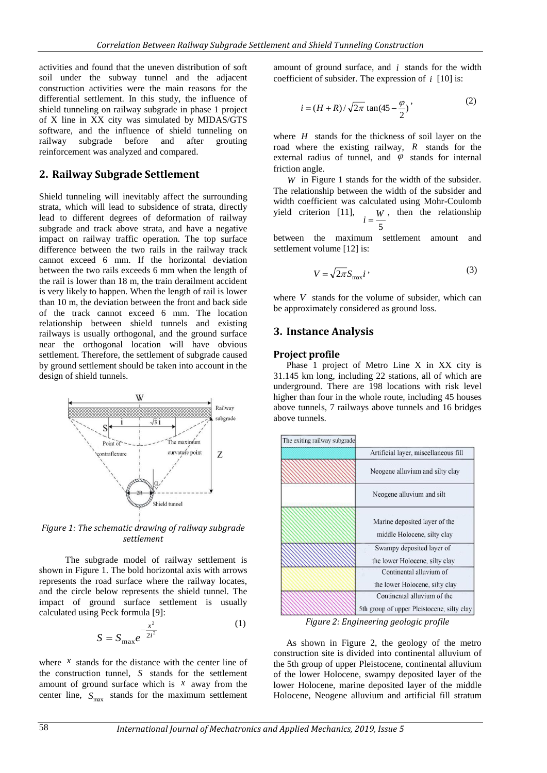activities and found that the uneven distribution of soft soil under the subway tunnel and the adjacent construction activities were the main reasons for the differential settlement. In this study, the influence of shield tunneling on railway subgrade in phase 1 project of X line in XX city was simulated by MIDAS/GTS software, and the influence of shield tunneling on railway subgrade before and after grouting reinforcement was analyzed and compared.

### **2. Railway Subgrade Settlement**

Shield tunneling will inevitably affect the surrounding strata, which will lead to subsidence of strata, directly lead to different degrees of deformation of railway subgrade and track above strata, and have a negative impact on railway traffic operation. The top surface difference between the two rails in the railway track cannot exceed 6 mm. If the horizontal deviation between the two rails exceeds 6 mm when the length of the rail is lower than 18 m, the train derailment accident is very likely to happen. When the length of rail is lower than 10 m, the deviation between the front and back side of the track cannot exceed 6 mm. The location relationship between shield tunnels and existing railways is usually orthogonal, and the ground surface near the orthogonal location will have obvious settlement. Therefore, the settlement of subgrade caused by ground settlement should be taken into account in the design of shield tunnels.



*Figure 1: The schematic drawing of railway subgrade settlement*

The subgrade model of railway settlement is shown in Figure 1. The bold horizontal axis with arrows represents the road surface where the railway locates, and the circle below represents the shield tunnel. The impact of ground surface settlement is usually calculated using Peck formula [9]:

$$
S = S_{\text{max}} e^{-\frac{x^2}{2i^2}}
$$
 (1)

where  $\bar{x}$  stands for the distance with the center line of the construction tunnel, *S* stands for the settlement amount of ground surface which is  $\bar{x}$  away from the center line,  $S_{\text{max}}$  stands for the maximum settlement amount of ground surface, and  $i$  stands for the width coefficient of subsider. The expression of  $i$  [10] is:

$$
i = (H + R)/\sqrt{2\pi} \tan(45 - \frac{\varphi}{2})
$$
\n<sup>(2)</sup>

where  $H$  stands for the thickness of soil layer on the road where the existing railway, *R* stands for the external radius of tunnel, and  $\varphi$  stands for internal friction angle.

*W* in Figure 1 stands for the width of the subsider. The relationship between the width of the subsider and width coefficient was calculated using Mohr-Coulomb yield criterion [11], 5 *W* , then the relationship *i*

between the maximum settlement amount and settlement volume [12] is:

$$
V = \sqrt{2\pi} S_{\text{max}} i \tag{3}
$$

where  $V$  stands for the volume of subsider, which can be approximately considered as ground loss.

#### **3. Instance Analysis**

#### **Project profile**

Phase 1 project of Metro Line X in XX city is 31.145 km long, including 22 stations, all of which are underground. There are 198 locations with risk level higher than four in the whole route, including 45 houses above tunnels, 7 railways above tunnels and 16 bridges above tunnels.

| The exiting railway subgrade |                                                                           |
|------------------------------|---------------------------------------------------------------------------|
|                              | Artificial layer, miscellaneous fill                                      |
|                              | Neogene alluvium and silty clay                                           |
|                              | Neogene alluvium and silt                                                 |
|                              | Marine deposited layer of the<br>middle Holocene, silty clay              |
|                              | Swampy deposited layer of<br>the lower Holocene, silty clay               |
|                              | Continental alluvium of<br>the lower Holocene, silty clay                 |
|                              | Continental alluvium of the<br>5th group of upper Pleistocene, silty clay |

*Figure 2: Engineering geologic profile*

As shown in Figure 2, the geology of the metro construction site is divided into continental alluvium of the 5th group of upper Pleistocene, continental alluvium of the lower Holocene, swampy deposited layer of the lower Holocene, marine deposited layer of the middle Holocene, Neogene alluvium and artificial fill stratum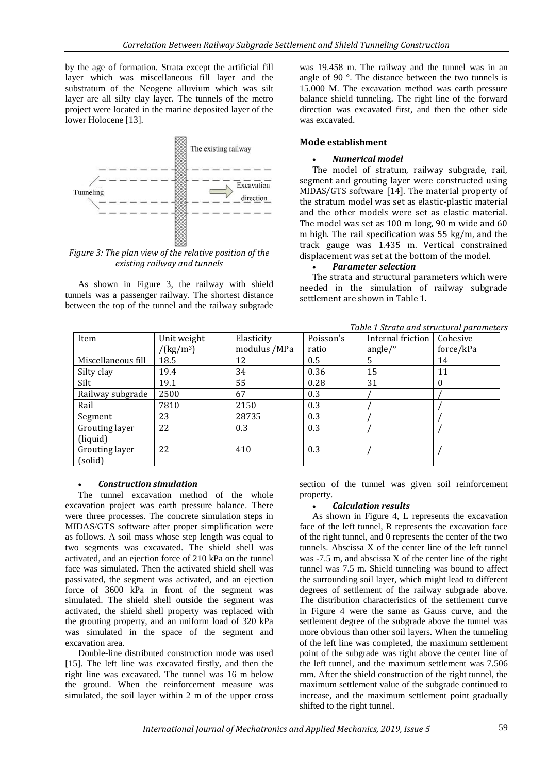by the age of formation. Strata except the artificial fill layer which was miscellaneous fill layer and the substratum of the Neogene alluvium which was silt layer are all silty clay layer. The tunnels of the metro project were located in the marine deposited layer of the lower Holocene [13].



#### *Figure 3: The plan view of the relative position of the existing railway and tunnels*

As shown in Figure 3, the railway with shield tunnels was a passenger railway. The shortest distance between the top of the tunnel and the railway subgrade was 19.458 m. The railway and the tunnel was in an angle of 90 °. The distance between the two tunnels is 15.000 M. The excavation method was earth pressure balance shield tunneling. The right line of the forward direction was excavated first, and then the other side was excavated.

#### **Mode establishment**

#### *Numerical model*

The model of stratum, railway subgrade, rail, segment and grouting layer were constructed using MIDAS/GTS software [14]. The material property of the stratum model was set as elastic-plastic material and the other models were set as elastic material. The model was set as 100 m long, 90 m wide and 60 m high. The rail specification was 55 kg/m, and the track gauge was 1.435 m. Vertical constrained displacement was set at the bottom of the model.

#### *Parameter selection*

The strata and structural parameters which were needed in the simulation of railway subgrade settlement are shown in Table 1.

|  |  |  |  | Table 1 Strata and structural parameters |  |
|--|--|--|--|------------------------------------------|--|
|  |  |  |  |                                          |  |

| Item               | Unit weight<br>$^{\prime}$ (kg/m <sup>3</sup> ) | Elasticity<br>modulus /MPa | Poisson's<br>ratio | Internal friction<br>angle/ $\circ$ | Cohesive<br>force/kPa |
|--------------------|-------------------------------------------------|----------------------------|--------------------|-------------------------------------|-----------------------|
| Miscellaneous fill | 18.5                                            | 12                         | 0.5                | .5                                  | 14                    |
| Silty clay         | 19.4                                            | 34                         | 0.36               | 15                                  | 11                    |
| Silt               | 19.1                                            | 55                         | 0.28               | 31                                  | $\theta$              |
| Railway subgrade   | 2500                                            | 67                         | 0.3                |                                     |                       |
| Rail               | 7810                                            | 2150                       | 0.3                |                                     |                       |
| Segment            | 23                                              | 28735                      | 0.3                |                                     |                       |
| Grouting layer     | 22                                              | 0.3                        | 0.3                |                                     |                       |
| (liquid)           |                                                 |                            |                    |                                     |                       |
| Grouting layer     | 22                                              | 410                        | 0.3                |                                     |                       |
| (solid)            |                                                 |                            |                    |                                     |                       |

#### *Construction simulation*

The tunnel excavation method of the whole excavation project was earth pressure balance. There were three processes. The concrete simulation steps in MIDAS/GTS software after proper simplification were as follows. A soil mass whose step length was equal to two segments was excavated. The shield shell was activated, and an ejection force of 210 kPa on the tunnel face was simulated. Then the activated shield shell was passivated, the segment was activated, and an ejection force of 3600 kPa in front of the segment was simulated. The shield shell outside the segment was activated, the shield shell property was replaced with the grouting property, and an uniform load of 320 kPa was simulated in the space of the segment and excavation area.

Double-line distributed construction mode was used [15]. The left line was excavated firstly, and then the right line was excavated. The tunnel was 16 m below the ground. When the reinforcement measure was simulated, the soil layer within 2 m of the upper cross

section of the tunnel was given soil reinforcement property.

#### *Calculation results*

As shown in Figure 4, L represents the excavation face of the left tunnel, R represents the excavation face of the right tunnel, and 0 represents the center of the two tunnels. Abscissa X of the center line of the left tunnel was -7.5 m, and abscissa X of the center line of the right tunnel was 7.5 m. Shield tunneling was bound to affect the surrounding soil layer, which might lead to different degrees of settlement of the railway subgrade above. The distribution characteristics of the settlement curve in Figure 4 were the same as Gauss curve, and the settlement degree of the subgrade above the tunnel was more obvious than other soil layers. When the tunneling of the left line was completed, the maximum settlement point of the subgrade was right above the center line of the left tunnel, and the maximum settlement was 7.506 mm. After the shield construction of the right tunnel, the maximum settlement value of the subgrade continued to increase, and the maximum settlement point gradually shifted to the right tunnel.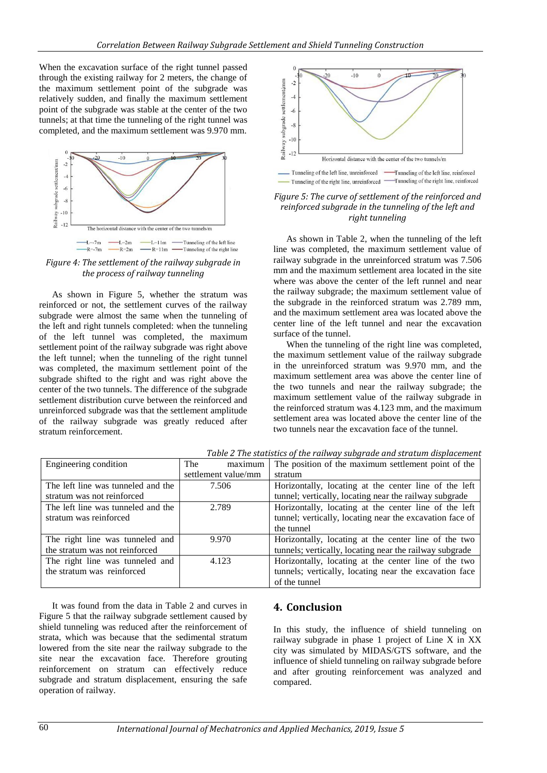When the excavation surface of the right tunnel passed through the existing railway for 2 meters, the change of the maximum settlement point of the subgrade was relatively sudden, and finally the maximum settlement point of the subgrade was stable at the center of the two tunnels; at that time the tunneling of the right tunnel was completed, and the maximum settlement was 9.970 mm.



*Figure 4: The settlement of the railway subgrade in the process of railway tunneling*

As shown in Figure 5, whether the stratum was reinforced or not, the settlement curves of the railway subgrade were almost the same when the tunneling of the left and right tunnels completed: when the tunneling of the left tunnel was completed, the maximum settlement point of the railway subgrade was right above the left tunnel; when the tunneling of the right tunnel was completed, the maximum settlement point of the subgrade shifted to the right and was right above the center of the two tunnels. The difference of the subgrade settlement distribution curve between the reinforced and unreinforced subgrade was that the settlement amplitude of the railway subgrade was greatly reduced after stratum reinforcement.



*Figure 5: The curve of settlement of the reinforced and reinforced subgrade in the tunneling of the left and right tunneling*

As shown in Table 2, when the tunneling of the left line was completed, the maximum settlement value of railway subgrade in the unreinforced stratum was 7.506 mm and the maximum settlement area located in the site where was above the center of the left runnel and near the railway subgrade; the maximum settlement value of the subgrade in the reinforced stratum was 2.789 mm, and the maximum settlement area was located above the center line of the left tunnel and near the excavation surface of the tunnel.

When the tunneling of the right line was completed, the maximum settlement value of the railway subgrade in the unreinforced stratum was 9.970 mm, and the maximum settlement area was above the center line of the two tunnels and near the railway subgrade; the maximum settlement value of the railway subgrade in the reinforced stratum was 4.123 mm, and the maximum settlement area was located above the center line of the two tunnels near the excavation face of the tunnel.

| Engineering condition              | maximum<br>The      | The position of the maximum settlement point of the      |
|------------------------------------|---------------------|----------------------------------------------------------|
|                                    | settlement value/mm | stratum                                                  |
| The left line was tunneled and the | 7.506               | Horizontally, locating at the center line of the left    |
| stratum was not reinforced         |                     | tunnel; vertically, locating near the railway subgrade   |
| The left line was tunneled and the | 2.789               | Horizontally, locating at the center line of the left    |
| stratum was reinforced             |                     | tunnel; vertically, locating near the excavation face of |
|                                    |                     | the tunnel                                               |
| The right line was tunneled and    | 9.970               | Horizontally, locating at the center line of the two     |
| the stratum was not reinforced     |                     | tunnels; vertically, locating near the railway subgrade  |
| The right line was tunneled and    | 4.123               | Horizontally, locating at the center line of the two     |
| the stratum was reinforced         |                     | tunnels; vertically, locating near the excavation face   |
|                                    |                     | of the tunnel                                            |

*Table 2 The statistics of the railway subgrade and stratum displacement*

It was found from the data in Table 2 and curves in Figure 5 that the railway subgrade settlement caused by shield tunneling was reduced after the reinforcement of strata, which was because that the sedimental stratum lowered from the site near the railway subgrade to the site near the excavation face. Therefore grouting reinforcement on stratum can effectively reduce subgrade and stratum displacement, ensuring the safe operation of railway.

# **4. Conclusion**

In this study, the influence of shield tunneling on railway subgrade in phase 1 project of Line X in XX city was simulated by MIDAS/GTS software, and the influence of shield tunneling on railway subgrade before and after grouting reinforcement was analyzed and compared.